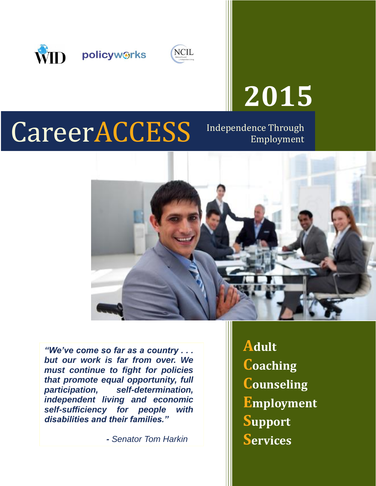



# **2015**

## CareerACCESS Independence Through

Employment



 *"We've come so far as a country . . . but our work is far from over. We must continue to fight for policies that promote equal opportunity, full independent living and economic participation, self-determination, self-sufficiency for people with disabilities and their families."* 

*- Senator Tom Harkin* 

**Adult Employment Support Coaching Counseling Services**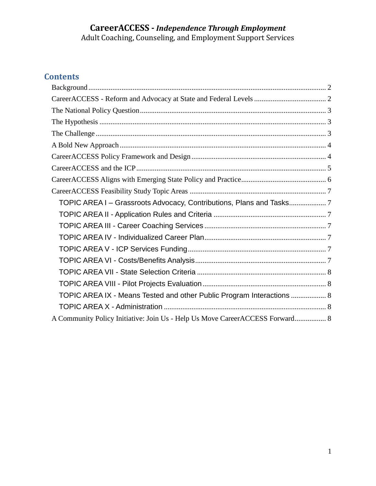Adult Coaching, Counseling, and Employment Support Services

#### **Contents**

| TOPIC AREA I - Grassroots Advocacy, Contributions, Plans and Tasks           |
|------------------------------------------------------------------------------|
|                                                                              |
|                                                                              |
|                                                                              |
|                                                                              |
|                                                                              |
|                                                                              |
|                                                                              |
| TOPIC AREA IX - Means Tested and other Public Program Interactions  8        |
|                                                                              |
| A Community Policy Initiative: Join Us - Help Us Move CareerACCESS Forward 8 |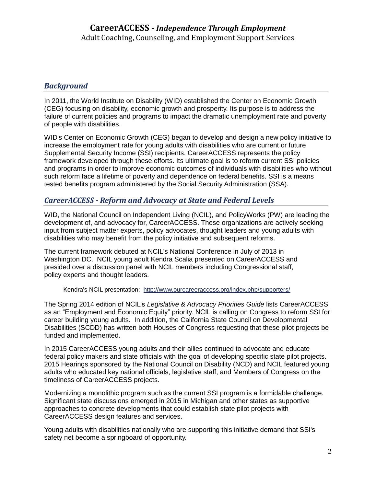#### <span id="page-2-0"></span>*Background*

 In 2011, the World Institute on Disability (WID) established the Center on Economic Growth (CEG) focusing on disability, economic growth and prosperity. Its purpose is to address the failure of current policies and programs to impact the dramatic unemployment rate and poverty of people with disabilities.

 WID's Center on Economic Growth (CEG) began to develop and design a new policy initiative to increase the employment rate for young adults with disabilities who are current or future Supplemental Security Income (SSI) recipients. CareerACCESS represents the policy framework developed through these efforts. Its ultimate goal is to reform current SSI policies and programs in order to improve economic outcomes of individuals with disabilities who without such reform face a lifetime of poverty and dependence on federal benefits. SSI is a means tested benefits program administered by the Social Security Administration (SSA).

#### <span id="page-2-1"></span>*CareerACCESS - Reform and Advocacy at State and Federal Levels*

 WID, the National Council on Independent Living (NCIL), and PolicyWorks (PW) are leading the development of, and advocacy for, CareerACCESS. These organizations are actively seeking input from subject matter experts, policy advocates, thought leaders and young adults with disabilities who may benefit from the policy initiative and subsequent reforms.

 The current framework debuted at NCIL's National Conference in July of 2013 in Washington DC. NCIL young adult Kendra Scalia presented on CareerACCESS and presided over a discussion panel with NCIL members including Congressional staff, policy experts and thought leaders.

Kendra's NCIL presentation: <http://www.ourcareeraccess.org/index.php/supporters/>

 The Spring 2014 edition of NCIL's *Legislative & Advocacy Priorities Guide* lists CareerACCESS as an "Employment and Economic Equity" priority. NCIL is calling on Congress to reform SSI for career building young adults. In addition, the California State Council on Developmental Disabilities (SCDD) has written both Houses of Congress requesting that these pilot projects be funded and implemented.

funded and implemented.<br>In 2015 CareerACCESS young adults and their allies continued to advocate and educate federal policy makers and state officials with the goal of developing specific state pilot projects. 2015 Hearings sponsored by the National Council on Disability (NCD) and NCIL featured young adults who educated key national officials, legislative staff, and Members of Congress on the timeliness of CareerACCESS projects.

 Modernizing a monolithic program such as the current SSI program is a formidable challenge. Significant state discussions emerged in 2015 in Michigan and other states as supportive CareerACCESS design features and services. approaches to concrete developments that could establish state pilot projects with

 Young adults with disabilities nationally who are supporting this initiative demand that SSI's safety net become a springboard of opportunity.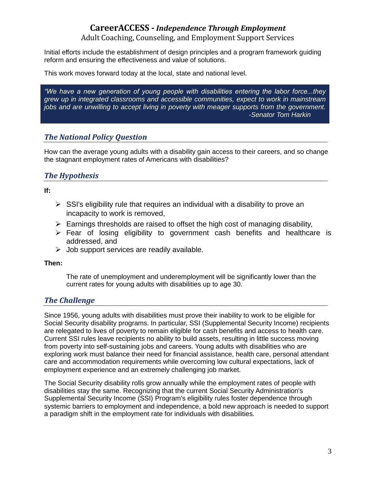Adult Coaching, Counseling, and Employment Support Services

 Initial efforts include the establishment of design principles and a program framework guiding reform and ensuring the effectiveness and value of solutions.

This work moves forward today at the local, state and national level.

 *"We have a new generation of young people with disabilities entering the labor force...they grew up in integrated classrooms and accessible communities, expect to work in mainstream jobs and are unwilling to accept living in poverty with meager supports from the government. -Senator Tom Harkin* 

#### <span id="page-3-0"></span>*The National Policy Question*

 How can the average young adults with a disability gain access to their careers, and so change the stagnant employment rates of Americans with disabilities?

#### <span id="page-3-1"></span>*The Hypothesis*

**If:** 

- $\triangleright$  SSI's eligibility rule that requires an individual with a disability to prove an incapacity to work is removed,
- $\triangleright$  Earnings thresholds are raised to offset the high cost of managing disability,
- $\triangleright$  Fear of losing eligibility to government cash benefits and healthcare is addressed, and
- $\triangleright$  Job support services are readily available.

**Then:** 

 The rate of unemployment and underemployment will be significantly lower than the current rates for young adults with disabilities up to age 30.

#### <span id="page-3-2"></span>*The Challenge*

 Since 1956, young adults with disabilities must prove their inability to work to be eligible for Social Security disability programs. In particular, SSI (Supplemental Security Income) recipients are relegated to lives of poverty to remain eligible for cash benefits and access to health care. Current SSI rules leave recipients no ability to build assets, resulting in little success moving from poverty into self-sustaining jobs and careers. Young adults with disabilities who are exploring work must balance their need for financial assistance, health care, personal attendant care and accommodation requirements while overcoming low cultural expectations, lack of employment experience and an extremely challenging job market.

 The Social Security disability rolls grow annually while the employment rates of people with disabilities stay the same. Recognizing that the current Social Security Administration's Supplemental Security Income (SSI) Program's eligibility rules foster dependence through systemic barriers to employment and independence, a bold new approach is needed to support a paradigm shift in the employment rate for individuals with disabilities.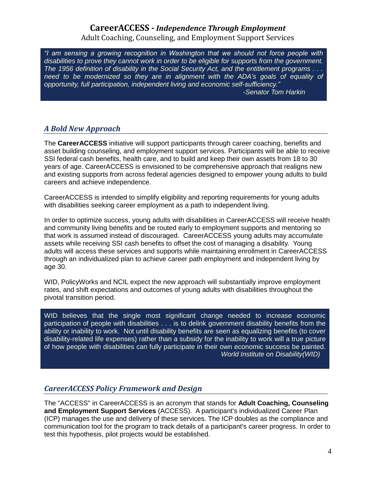#### **CareerACCESS -** *Independence Through Employment*  Adult Coaching, Counseling, and Employment Support Services

 *"I am sensing a growing recognition in Washington that we should not force people with disabilities to prove they cannot work in order to be eligible for supports from the government. The 1956 definition of disability in the Social Security Act, and the entitlement programs . . .*  need to be modernized so they are in alignment with the ADA's goals of equality of  *opportunity, full participation, independent living and economic self-sufficiency." -Senator Tom Harkin* 

#### <span id="page-4-0"></span>*A Bold New Approach*

 The **CareerACCESS** initiative will support participants through career coaching, benefits and asset building counseling, and employment support services. Participants will be able to receive SSI federal cash benefits, health care, and to build and keep their own assets from 18 to 30 years of age. CareerACCESS is envisioned to be comprehensive approach that realigns new and existing supports from across federal agencies designed to empower young adults to build careers and achieve independence.

 CareerACCESS is intended to simplify eligibility and reporting requirements for young adults with disabilities seeking career employment as a path to independent living.

 In order to optimize success, young adults with disabilities in CareerACCESS will receive health and community living benefits and be routed early to employment supports and mentoring so that work is assumed instead of discouraged. CareerACCESS young adults may accumulate assets while receiving SSI cash benefits to offset the cost of managing a disability. Young adults will access these services and supports while maintaining enrollment in CareerACCESS through an individualized plan to achieve career path employment and independent living by age 30.

 WID, PolicyWorks and NCIL expect the new approach will substantially improve employment rates, and shift expectations and outcomes of young adults with disabilities throughout the pivotal transition period.

 WID believes that the single most significant change needed to increase economic participation of people with disabilities . . . is to delink government disability benefits from the ability or inability to work. Not until disability benefits are seen as equalizing benefits (to cover disability-related life expenses) rather than a subsidy for the inability to work will a true picture of how people with disabilities can fully participate in their own economic success be painted. *World Institute on Disability(WID)* 

#### <span id="page-4-1"></span>*CareerACCESS Policy Framework and Design*

 The "ACCESS" in CareerACCESS is an acronym that stands for **Adult Coaching, Counseling and Employment Support Services** (ACCESS). A participant's individualized Career Plan (ICP) manages the use and delivery of these services. The ICP doubles as the compliance and communication tool for the program to track details of a participant's career progress. In order to test this hypothesis, pilot projects would be established.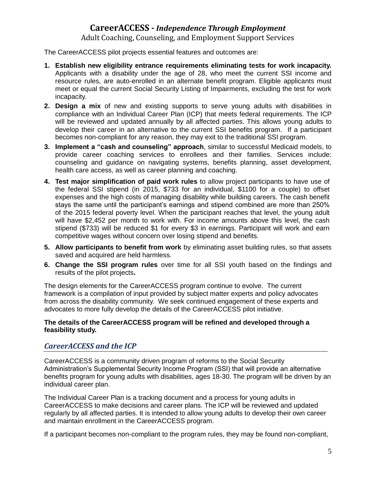Adult Coaching, Counseling, and Employment Support Services

The CareerACCESS pilot projects essential features and outcomes are:

- **1. Establish new eligibility entrance requirements eliminating tests for work incapacity.**  Applicants with a disability under the age of 28, who meet the current SSI income and resource rules, are auto-enrolled in an alternate benefit program. Eligible applicants must meet or equal the current Social Security Listing of Impairments, excluding the test for work incapacity.
- **2. Design a mix** of new and existing supports to serve young adults with disabilities in compliance with an Individual Career Plan (ICP) that meets federal requirements. The ICP will be reviewed and updated annually by all affected parties. This allows young adults to develop their career in an alternative to the current SSI benefits program. If a participant becomes non-compliant for any reason, they may exit to the traditional SSI program.
- **3. Implement a "cash and counseling" approach**, similar to successful Medicaid models, to provide career coaching services to enrollees and their families. Services include: counseling and guidance on navigating systems, benefits planning, asset development, health care access, as well as career planning and coaching.
- **4. Test major simplification of paid work rules** to allow project participants to have use of the federal SSI stipend (in 2015, \$733 for an individual, \$1100 for a couple) to offset expenses and the high costs of managing disability while building careers. The cash benefit stays the same until the participant's earnings and stipend combined are more than 250% of the 2015 federal poverty level. When the participant reaches that level, the young adult will have \$2,452 per month to work with. For income amounts above this level, the cash stipend (\$733) will be reduced \$1 for every \$3 in earnings. Participant will work and earn competitive wages without concern over losing stipend and benefits.
- **5. Allow participants to benefit from work** by eliminating asset building rules, so that assets saved and acquired are held harmless.
- **6. Change the SSI program rules** over time for all SSI youth based on the findings and results of the pilot projects**.**

 The design elements for the CareerACCESS program continue to evolve. The current framework is a compilation of input provided by subject matter experts and policy advocates from across the disability community. We seek continued engagement of these experts and advocates to more fully develop the details of the CareerACCESS pilot initiative.

#### **The details of the CareerACCESS program will be refined and developed through a feasibility study.**

#### <span id="page-5-0"></span>*CareerACCESS and the ICP*

 CareerACCESS is a community driven program of reforms to the Social Security Administration's Supplemental Security Income Program (SSI) that will provide an alternative benefits program for young adults with disabilities, ages 18-30. The program will be driven by an individual career plan.

 The Individual Career Plan is a tracking document and a process for young adults in CareerACCESS to make decisions and career plans. The ICP will be reviewed and updated regularly by all affected parties. It is intended to allow young adults to develop their own career and maintain enrollment in the CareerACCESS program.

If a participant becomes non-compliant to the program rules, they may be found non-compliant,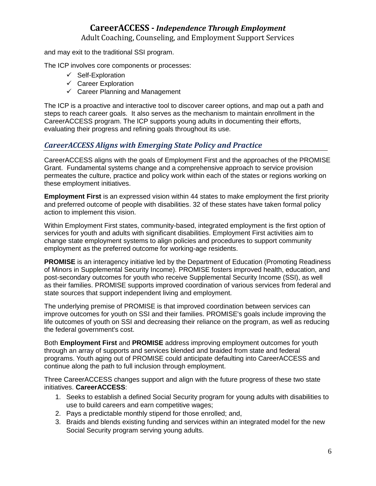Adult Coaching, Counseling, and Employment Support Services

and may exit to the traditional SSI program.

The ICP involves core components or processes:

- $\checkmark$  Self-Exploration
- $\checkmark$  Career Exploration
- $\checkmark$  Career Planning and Management

 The ICP is a proactive and interactive tool to discover career options, and map out a path and steps to reach career goals. It also serves as the mechanism to maintain enrollment in the CareerACCESS program. The ICP supports young adults in documenting their efforts, evaluating their progress and refining goals throughout its use.

#### <span id="page-6-0"></span>*CareerACCESS Aligns with Emerging State Policy and Practice*

 CareerACCESS aligns with the goals of Employment First and the approaches of the PROMISE Grant. Fundamental systems change and a comprehensive approach to service provision permeates the culture, practice and policy work within each of the states or regions working on these employment initiatives.

 **Employment First** is an expressed vision within 44 states to make employment the first priority and preferred outcome of people with disabilities. 32 of these states have taken formal policy action to implement this vision.

 Within Employment First states, community-based, integrated employment is the first option of services for youth and adults with significant disabilities. Employment First activities aim to change state employment systems to align policies and procedures to support community employment as the preferred outcome for working-age residents.

 **PROMISE** is an interagency initiative led by the Department of Education (Promoting Readiness of Minors in Supplemental Security Income). PROMISE fosters improved health, education, and post-secondary outcomes for youth who receive Supplemental Security Income (SSI), as well as their families. PROMISE supports improved coordination of various services from federal and state sources that support independent living and employment.

 The underlying premise of PROMISE is that improved coordination between services can improve outcomes for youth on SSI and their families. PROMISE's goals include improving the life outcomes of youth on SSI and decreasing their reliance on the program, as well as reducing the federal government's cost.

 Both **Employment First** and **PROMISE** address improving employment outcomes for youth through an array of supports and services blended and braided from state and federal programs. Youth aging out of PROMISE could anticipate defaulting into CareerACCESS and continue along the path to full inclusion through employment.

 Three CareerACCESS changes support and align with the future progress of these two state initiatives. **CareerACCESS**:

- 1. Seeks to establish a defined Social Security program for young adults with disabilities to use to build careers and earn competitive wages;
- 2. Pays a predictable monthly stipend for those enrolled; and,
- 3. Braids and blends existing funding and services within an integrated model for the new Social Security program serving young adults.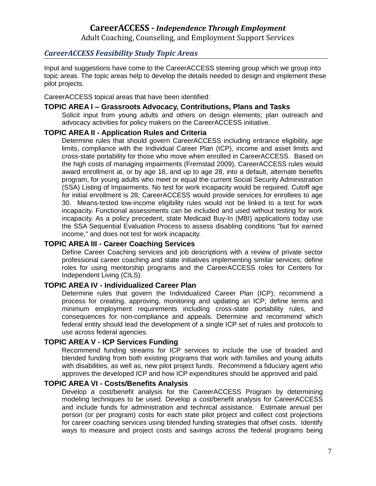Adult Coaching, Counseling, and Employment Support Services

#### <span id="page-7-0"></span>*CareerACCESS Feasibility Study Topic Areas*

 Input and suggestions have come to the CareerACCESS steering group which we group into topic areas. The topic areas help to develop the details needed to design and implement these pilot projects.

pilot projects.<br>CareerACCESS topical areas that have been identified:

#### <span id="page-7-1"></span> **TOPIC AREA I – Grassroots Advocacy, Contributions, Plans and Tasks**

 Solicit input from young adults and others on design elements; plan outreach and advocacy activities for policy makers on the CareerACCESS initiative.

#### <span id="page-7-2"></span>**TOPIC AREA II - Application Rules and Criteria**

 Determine rules that should govern CareerACCESS including entrance eligibility, age limits, compliance with the Individual Career Plan (ICP), income and asset limits and cross-state portability for those who move when enrolled in CareerACCESS. Based on the high costs of managing impairments (Fremstad 2009), CareerACCESS rules would award enrollment at, or by age 18, and up to age 28, into a default, alternate benefits program, for young adults who meet or equal the current Social Security Administration (SSA) Listing of Impairments. No test for work incapacity would be required. Cutoff age for initial enrollment is 28; CareerACCESS would provide services for enrollees to age 30. Means-tested low-income eligibility rules would not be linked to a test for work incapacity. Functional assessments can be included and used without testing for work incapacity. As a policy precedent, state Medicaid Buy-In (MBI) applications today use the SSA Sequential Evaluation Process to assess disabling conditions "but for earned income," and does not test for work incapacity.

#### <span id="page-7-3"></span> **TOPIC AREA III - Career Coaching Services**

 Define Career Coaching services and job descriptions with a review of private sector professional career coaching and state initiatives implementing similar services; define roles for using mentorship programs and the CareerACCESS roles for Centers for Independent Living (CILS).

#### <span id="page-7-4"></span> **TOPIC AREA IV - Individualized Career Plan**

 Determine rules that govern the Individualized Career Plan (ICP); recommend a process for creating, approving, monitoring and updating an ICP; define terms and minimum employment requirements including cross-state portability rules, and consequences for non-compliance and appeals. Determine and recommend which federal entity should lead the development of a single ICP set of rules and protocols to use across federal agencies.

#### <span id="page-7-5"></span> **TOPIC AREA V - ICP Services Funding**

 Recommend funding streams for ICP services to include the use of braided and blended funding from both existing programs that work with families and young adults with disabilities, as well as, new pilot project funds. Recommend a fiduciary agent who approves the developed ICP and how ICP expenditures should be approved and paid.

#### <span id="page-7-6"></span> **TOPIC AREA VI - Costs/Benefits Analysis**

 Develop a cost/benefit analysis for the CareerACCESS Program by determining modeling techniques to be used. Develop a cost/benefit analysis for CareerACCESS and include funds for administration and technical assistance. Estimate annual per person (or per program) costs for each state pilot project and collect cost projections for career coaching services using blended funding strategies that offset costs. Identify ways to measure and project costs and savings across the federal programs being